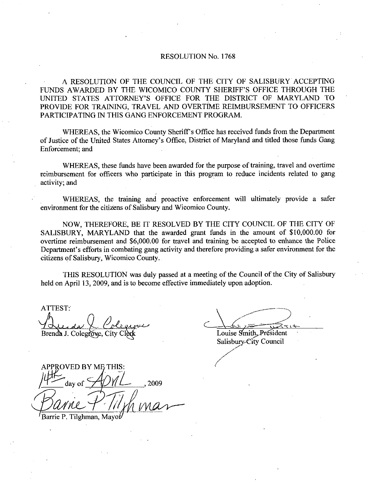## RESOLUTION No. 1768

A RESOLUTION OF THE COUNCIL OF THE CITY OF SALISBURY ACCEPTING FUNDS AWARDED BY THE WICOMICO COUNTY SHERIFF'S OFFICE THROUGH THE UNITED STATES ATTORNEY'S OFFICE FOR THE DISTRICT OF MARYLAND TO RESOLUTION No. 1768<br>A RESOLUTION OF THE COUNCIL OF THE CITY OF SALISBURY ACCEPTING<br>FUNDS AWARDED BY THE WICOMICO COUNTY SHERIFF'S OFFICE THROUGH THE<br>UNITED STATES ATTORNEY'S OFFICE FOR THE DISTRICT OF MARYLAND TO<br>PROVIDE F PROVIDE FOR TRAINING, TRAVEL AND OVERTIME REIMBURSEMENT TO OFFICERS PARTICIPATING IN THIS GANG ENFORCEMENT PROGRAM

WHEREAS, the Wicomico County Sheriff's Office has received funds from the Department UNITED STATES ATTORNEY'S OR<br>PROVIDE FOR TRAINING, TRAVEL<br>PARTICIPATING IN THIS GANG ENF<br>WHEREAS, the Wicomico Count<br>of Justice of the United States Attorney's<br>Enforcement; and of Justice of the United States Attorney's Office, District of Maryland and titled those funds Gang Enforcement; and

WHEREAS, these funds have been awarded for the purpose of training, travel and overtime reimbursement for officers who participate in this program to reduce incidents related to gang activity; and

WHEREAS, the training and proactive enforcement will ultimately provide a safer environment for the citizens of Salisbury and Wicomico County.

NOW, THEREFORE, BE IT RESOLVED BY THE CITY COUNCIL OF THE CITY OF NOW, THEREFORE, BE IT RESOLVED BY THE CITY COUNCIL OF THE CITY OF<br>SALISBURY, MARYLAND that the awarded grant funds in the amount of \$10,000.00 for<br>overtime reimbursement and \$6,000.00 for travel and training be accepted to environment for the citizens of Salisbury and Wicomico County.<br>
NOW, THEREFORE, BE IT RESOLVED BY THE CITY COUNCIL OF THE CITY OF<br>
SALISBURY, MARYLAND that the awarded grant funds in the amount of \$10,000.00 for<br>
overtime WHER<br>
environment f<br>
NOW,<br>
SALISBURY,<br>
overtime reim<br>
Department's<br>
citizens of Sali Department's efforts in combating gang activity and therefore providing a safer environment for the citizens of Salisbury, Wicomico County.

THIS RESOLUTION was duly passed at a meeting of the Council of the City of Salisbury held on April 13, 2009, and is to become effective immediately upon adoption.

ATTEST Brenda J. Colegrove, City

Louise Smith, President

Salisbury-City Council

 $\mu$  APPROVED BY ME THIS:  $\mu$ PROVED BY ME THIS:<br>day of **ADYL**<br>and ALLAND<br>rie P. Tilghman, Mayor

Barrie P. Tilghman, Mayot